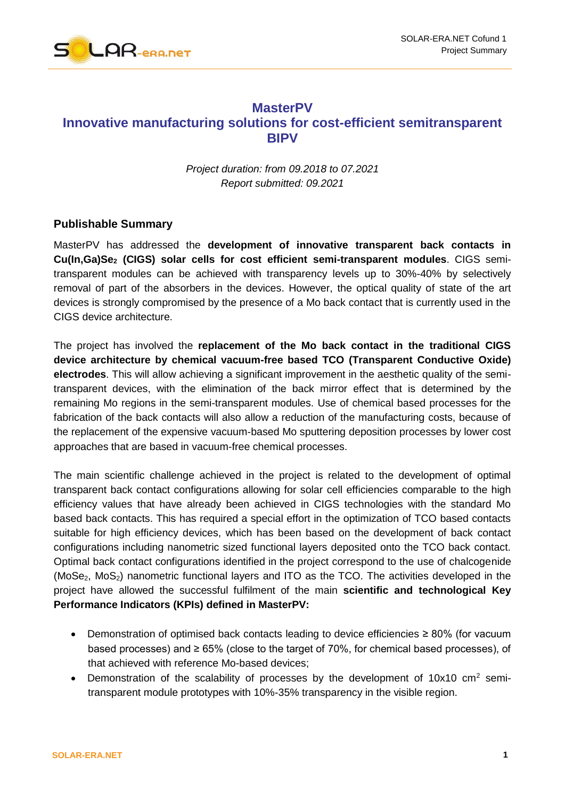

## **MasterPV Innovative manufacturing solutions for cost-efficient semitransparent BIPV**

*Project duration: from 09.2018 to 07.2021 Report submitted: 09.2021*

## **Publishable Summary**

MasterPV has addressed the **development of innovative transparent back contacts in Cu(In,Ga)Se<sup>2</sup> (CIGS) solar cells for cost efficient semi-transparent modules**. CIGS semitransparent modules can be achieved with transparency levels up to 30%-40% by selectively removal of part of the absorbers in the devices. However, the optical quality of state of the art devices is strongly compromised by the presence of a Mo back contact that is currently used in the CIGS device architecture.

The project has involved the **replacement of the Mo back contact in the traditional CIGS device architecture by chemical vacuum-free based TCO (Transparent Conductive Oxide) electrodes**. This will allow achieving a significant improvement in the aesthetic quality of the semitransparent devices, with the elimination of the back mirror effect that is determined by the remaining Mo regions in the semi-transparent modules. Use of chemical based processes for the fabrication of the back contacts will also allow a reduction of the manufacturing costs, because of the replacement of the expensive vacuum-based Mo sputtering deposition processes by lower cost approaches that are based in vacuum-free chemical processes.

The main scientific challenge achieved in the project is related to the development of optimal transparent back contact configurations allowing for solar cell efficiencies comparable to the high efficiency values that have already been achieved in CIGS technologies with the standard Mo based back contacts. This has required a special effort in the optimization of TCO based contacts suitable for high efficiency devices, which has been based on the development of back contact configurations including nanometric sized functional layers deposited onto the TCO back contact. Optimal back contact configurations identified in the project correspond to the use of chalcogenide  $(MoSe<sub>2</sub>, MoS<sub>2</sub>)$  nanometric functional layers and ITO as the TCO. The activities developed in the project have allowed the successful fulfilment of the main **scientific and technological Key Performance Indicators (KPIs) defined in MasterPV:**

- Demonstration of optimised back contacts leading to device efficiencies ≥ 80% (for vacuum based processes) and  $\geq 65\%$  (close to the target of 70%, for chemical based processes), of that achieved with reference Mo-based devices;
- Demonstration of the scalability of processes by the development of  $10x10$  cm<sup>2</sup> semitransparent module prototypes with 10%-35% transparency in the visible region.